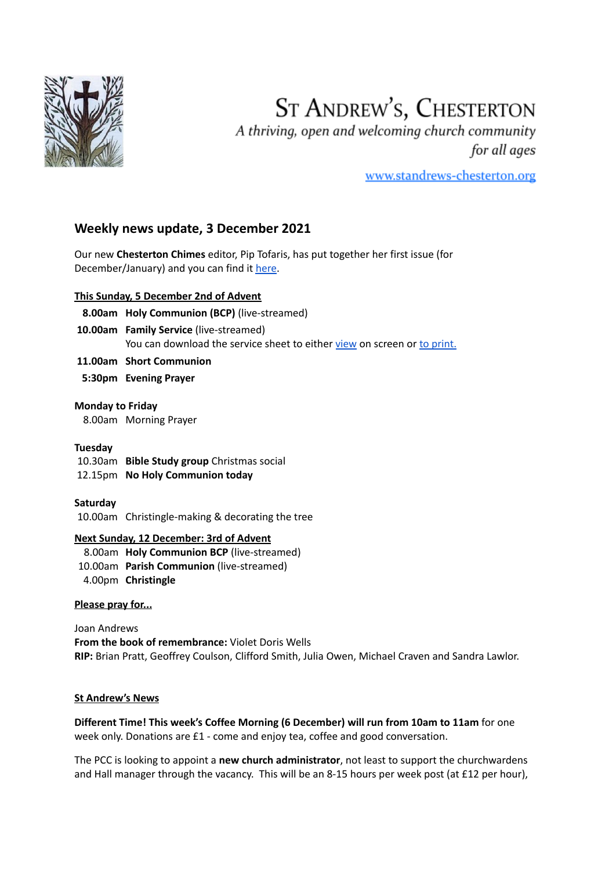

# **ST ANDREW'S, CHESTERTON**

A thriving, open and welcoming church community for all ages

www.standrews-chesterton.org

# **Weekly news update, 3 December 2021**

Our new **Chesterton Chimes** editor, Pip Tofaris, has put together her first issue (for December/January) and you can find it [here.](https://www.standrews-chesterton.org/wp-content/uploads/2021/11/Chimes-Dec_Jan-2021-22.pdf)

# **This Sunday, 5 December 2nd of Advent**

- **8.00am Holy Communion (BCP)** (live-streamed)
- **10.00am Family Service** (live-streamed)

You can download the service sheet to either [view](https://www.standrews-chesterton.org/wp-content/uploads/2021/12/210512-view-1.pdf) on screen or to [print.](https://www.standrews-chesterton.org/wp-content/uploads/2021/12/210512-print-1.pdf)

- **11.00am Short Communion**
- **5:30pm Evening Prayer**

#### **Monday to Friday**

8.00am Morning Prayer

#### **Tuesday**

10.30am **Bible Study group** Christmas social

12.15pm **No Holy Communion today**

#### **Saturday**

10.00am Christingle-making & decorating the tree

#### **Next Sunday, 12 December: 3rd of Advent**

- 8.00am **Holy Communion BCP** (live-streamed)
- 10.00am **Parish Communion** (live-streamed)
- 4.00pm **Christingle**

#### **Please pray for...**

Joan Andrews **From the book of remembrance:** Violet Doris Wells **RIP:** Brian Pratt, Geoffrey Coulson, Clifford Smith, Julia Owen, Michael Craven and Sandra Lawlor.

#### **St Andrew's News**

**Different Time! This week's Coffee Morning (6 December) will run from 10am to 11am** for one week only. Donations are £1 - come and enjoy tea, coffee and good conversation.

The PCC is looking to appoint a **new church administrator**, not least to support the churchwardens and Hall manager through the vacancy. This will be an 8-15 hours per week post (at £12 per hour),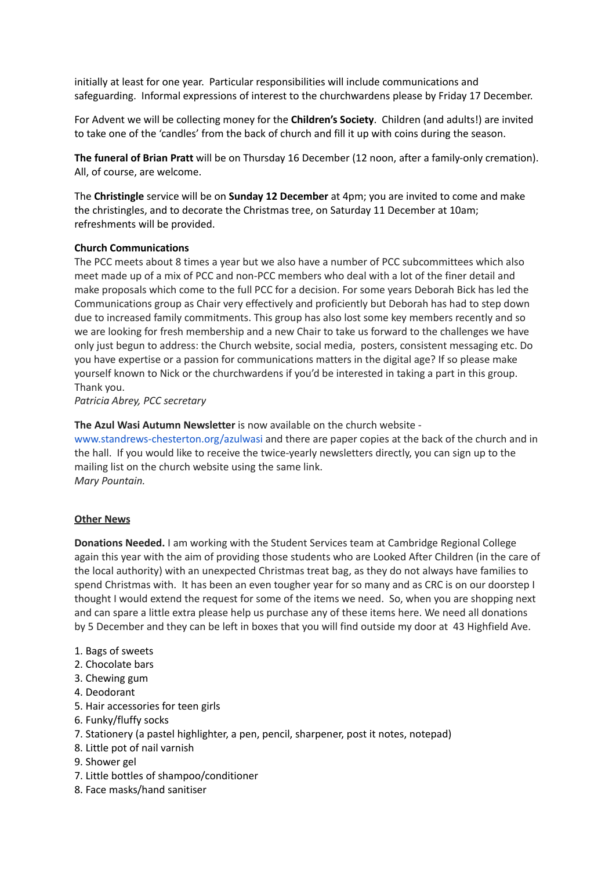initially at least for one year. Particular responsibilities will include communications and safeguarding. Informal expressions of interest to the churchwardens please by Friday 17 December.

For Advent we will be collecting money for the **Children's Society**. Children (and adults!) are invited to take one of the 'candles' from the back of church and fill it up with coins during the season.

**The funeral of Brian Pratt** will be on Thursday 16 December (12 noon, after a family-only cremation). All, of course, are welcome.

The **Christingle** service will be on **Sunday 12 December** at 4pm; you are invited to come and make the christingles, and to decorate the Christmas tree, on Saturday 11 December at 10am; refreshments will be provided.

#### **Church Communications**

The PCC meets about 8 times a year but we also have a number of PCC subcommittees which also meet made up of a mix of PCC and non-PCC members who deal with a lot of the finer detail and make proposals which come to the full PCC for a decision. For some years Deborah Bick has led the Communications group as Chair very effectively and proficiently but Deborah has had to step down due to increased family commitments. This group has also lost some key members recently and so we are looking for fresh membership and a new Chair to take us forward to the challenges we have only just begun to address: the Church website, social media, posters, consistent messaging etc. Do you have expertise or a passion for communications matters in the digital age? If so please make yourself known to Nick or the churchwardens if you'd be interested in taking a part in this group. Thank you.

*Patricia Abrey, PCC secretary*

**The Azul Wasi Autumn Newsletter** is now available on the church website -

[www.standrews-chesterton.org/azulwasi](http://www.standrews-chesterton.org/azulwasi) and there are paper copies at the back of the church and in the hall. If you would like to receive the twice-yearly newsletters directly, you can sign up to the mailing list on the church website using the same link. *Mary Pountain.*

#### **Other News**

**Donations Needed.** I am working with the Student Services team at Cambridge Regional College again this year with the aim of providing those students who are Looked After Children (in the care of the local authority) with an unexpected Christmas treat bag, as they do not always have families to spend Christmas with. It has been an even tougher year for so many and as CRC is on our doorstep I thought I would extend the request for some of the items we need. So, when you are shopping next and can spare a little extra please help us purchase any of these items here. We need all donations by 5 December and they can be left in boxes that you will find outside my door at 43 Highfield Ave.

- 1. Bags of sweets
- 2. Chocolate bars
- 3. Chewing gum
- 4. Deodorant
- 5. Hair accessories for teen girls
- 6. Funky/fluffy socks
- 7. Stationery (a pastel highlighter, a pen, pencil, sharpener, post it notes, notepad)
- 8. Little pot of nail varnish
- 9. Shower gel
- 7. Little bottles of shampoo/conditioner
- 8. Face masks/hand sanitiser